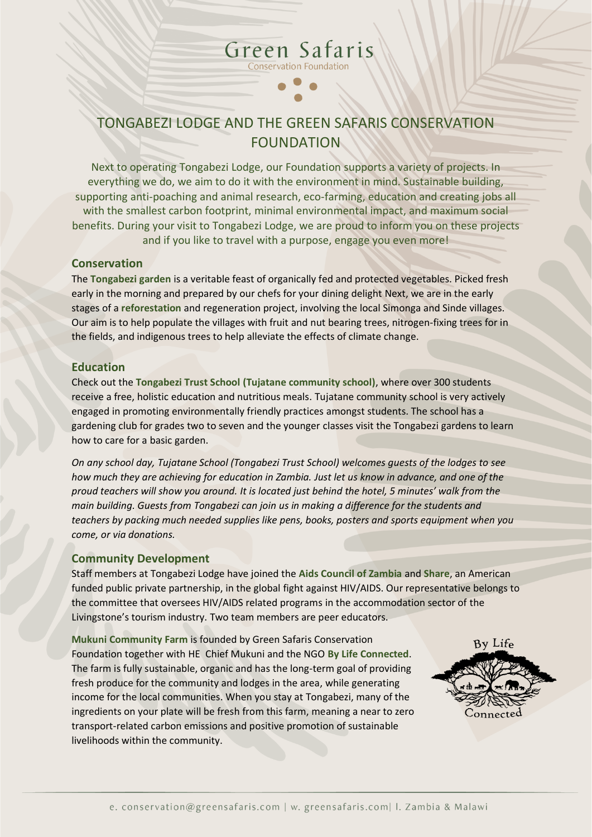# TONGABEZI LODGE AND THE GREEN SAFARIS CONSERVATION FOUNDATION

Green Safaris **Conservation Foundation** 

Next to operating Tongabezi Lodge, our Foundation supports a variety of projects. In everything we do, we aim to do it with the environment in mind. Sustainable building, supporting anti-poaching and animal research, eco-farming, education and creating jobs all with the smallest carbon footprint, minimal environmental impact, and maximum social benefits. During your visit to Tongabezi Lodge, we are proud to inform you on these projects and if you like to travel with a purpose, engage you even more!

#### **Conservation**

The **Tongabezi garden** is a veritable feast of organically fed and protected vegetables. Picked fresh early in the morning and prepared by our chefs for your dining delight Next, we are in the early stages of a **reforestation** and regeneration project, involving the local Simonga and Sinde villages. Our aim is to help populate the villages with fruit and nut bearing trees, nitrogen-fixing trees for in the fields, and indigenous trees to help alleviate the effects of climate change.

### **Education**

Check out the **Tongabezi Trust School (Tujatane community school)**, where over 300 students receive a free, holistic education and nutritious meals. Tujatane community school is very actively engaged in promoting environmentally friendly practices amongst students. The school has a gardening club for grades two to seven and the younger classes visit the Tongabezi gardens to learn how to care for a basic garden.

*On any school day, Tujatane School (Tongabezi Trust School) welcomes guests of the lodges to see how much they are achieving for education in Zambia. Just let us know in advance, and one of the proud teachers will show you around. It is located just behind the hotel, 5 minutes' walk from the main building. Guests from Tongabezi can join us in making a difference for the students and teachers by packing much needed supplies like pens, books, posters and sports equipment when you come, or via donations.* 

### **Community Development**

Staff members at Tongabezi Lodge have joined the **Aids Council of Zambia** and **Share**, an American funded public private partnership, in the global fight against HIV/AIDS. Our representative belongs to the committee that oversees HIV/AIDS related programs in the accommodation sector of the Livingstone's tourism industry. Two team members are peer educators.

**Mukuni Community Farm** is founded by Green Safaris Conservation Foundation together with HE Chief Mukuni and the NGO **By Life Connected**. The farm is fully sustainable, organic and has the long-term goal of providing fresh produce for the community and lodges in the area, while generating income for the local communities. When you stay at Tongabezi, many of the ingredients on your plate will be fresh from this farm, meaning a near to zero transport-related carbon emissions and positive promotion of sustainable livelihoods within the community.

By Life Connecte